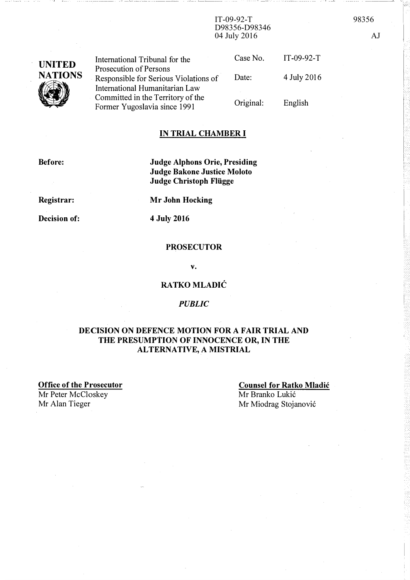IT-09-92-T 98356 D98356-D98346 04 July 2016 AJ

| <b>UNITED</b><br><b>NATIONS</b> | International Tribunal for the<br>Prosecution of Persons            | Case No.  | $IT-09-92-T$ |
|---------------------------------|---------------------------------------------------------------------|-----------|--------------|
|                                 | Responsible for Serious Violations of                               | Date:     | 4 July 2016  |
|                                 | International Humanitarian Law<br>Committed in the Territory of the | Original: | English      |
|                                 | Former Yugoslavia since 1991                                        |           |              |

## IN TRIAL CHAMBER I

Before:

Judge Alphons Orie, Presiding Judge Bakone Justice Moloto Judge Christoph Flügge

Registrar:

Decision of:

Mr John Hocking

4 July 2016

## **PROSECUTOR**

v.

## RATKO MLADIĆ

#### PUBLIC

## DECISION ON DEFENCE MOTION FOR A FAIR TRIAL AND THE PRESUMPTION OF INNOCENCE OR, IN THE ALTERNATIVE, A MISTRIAL

Office of the Prosecutor Mr Peter McCloskey

Mr Alan Tieger

## Counsel for Ratko Mladic Mr Branko Lukić

Mr Miodrag Stojanovic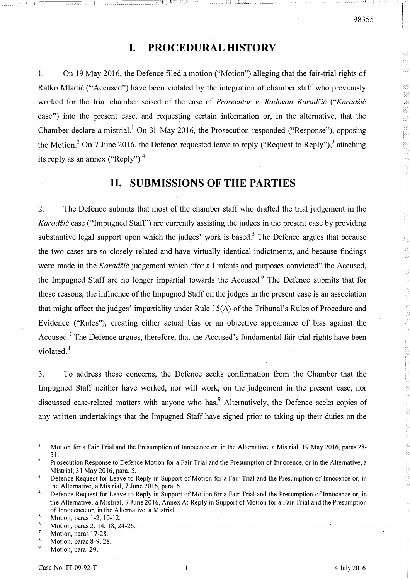# I. PROCEDURAL HISTORY

1. On 19 May 2016, the Defence filed a motion ("Motion") alleging that the fair-trial rights of Ratko Mladic ("Accused") have been violated by the integration of chamber staff who previously worked for the trial chamber seised of the case of Prosecutor v. Radovan Karadžić ("Karadžić case") into the present case, and requesting certain information· or, in the alternative, that the Chamber declare a mistrial, <sup>1</sup> On 31 May 2016, the Prosecution responded ("Response"), opposing the Motion.<sup>2</sup> On 7 June 2016, the Defence requested leave to reply ("Request to Reply"),<sup>3</sup> attaching its reply as an annex ("Reply"). $^{4}$ 

## II. SUBMISSIONS OF THE PARTIES

2. The Defence submits that most of the chamber staff who drafted the trial judgement in the Karadžić case ("Impugned Staff") are currently assisting the judges in the present case by providing substantive legal support upon which the judges' work is based.<sup>5</sup> The Defence argues that because the two cases are so closely related and have virtually identical indictments, and because findings were made in the Karadžić judgement which "for all intents and purposes convicted" the Accused, the Impugned Staff are no longer impartial towards the Accused.<sup>6</sup> The Defence submits that for these reasons, the influence of the Impugned Staff on the judges in the present case is an association that might affect the judges' impartiality under Rule lS(A) of the Tribunal's Rules of Procedure and Evidence ("Rules"), creating either actual bias or an objective appearance of bias against the Accused.<sup>7</sup> The Defence argues, therefore, that the Accused's fundamental fair trial rights have been violated.<sup>8</sup>

3. To address these concerns, the Defence seeks confirmation from the Chamber that the Impugned Staff neither have worked, nor will work, on the judgement in the present case, nor discussed case-related matters with anyone who has.<sup>9</sup> Alternatively, the Defence seeks copies of any written undertakings that the Impugned Staff have signed prior to taking up their duties on the

 $\mathbf{I}$ Motion for a Fair Trial and the Presumption of Innocence or, in the Alternative, a Mistrial, 19 May 2016, paras 28-31.

 $\overline{2}$ Prosecution Response to Defence Motion for a Fair Trial and the Presumption of Innocence, or in the Alternative, a Mistrial, 31 May 2016, para. 5.

 $\overline{\mathbf{3}}$ Defence Request for Leave to Reply in Support of Motion for a Fair Trial and the Presumption of Innocence or, in the Alternative, a Mistrial, 7 June 2016, para. 6.

<sup>4</sup>  Defence Request for Leave to Reply in Support of Motion for a Fair Trial and the Presumption of Innocence or, in the Alternative, a Mistrial, 7 June 2016, Annex A: Reply in Support of Motion for a Fair Trial and the Presumption ofInnocence or, in the Alternative, a Mistrial.

 $\mathbf{s}$ Motion, paras 1-2, 10-12.

<sup>6</sup>  Motion, paras 2, 14, 18, 24-26.

 $\overline{7}$ Motion, paras 17-28.

<sup>8</sup> Motion, paras 8-9, 28.

 $\overline{9}$ Motion, para. 29.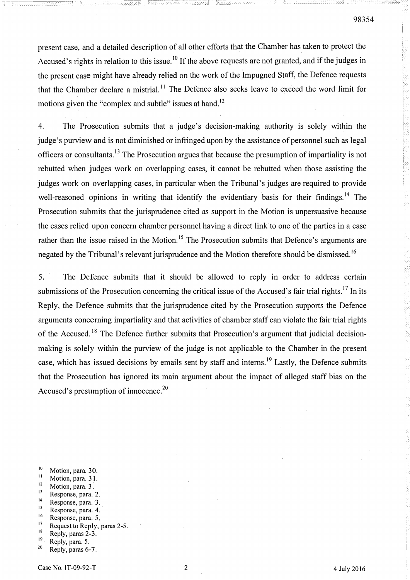present case, and a detailed description of all other efforts that the Chamber has taken to protect the Accused's rights in relation to this issue.<sup>10</sup> If the above requests are not granted, and if the judges in the present case might have already relied on the work of the Impugned Staff, the Defence requests that the Chamber declare a mistrial.<sup>11</sup> The Defence also seeks leave to exceed the word limit for motions given the "complex and subtle" issues at hand.<sup>12</sup>

F:---�--- - - -

55

4. The Prosecution submits that a judge's decision-making authority is solely within the judge's purview and is not diminished or infringed upon by the assistance of personnel such as legal officers or consultants.13 The Prosecution argues that because the presumption of impartiality is not rebutted when judges work on overlapping cases, it cannot be rebutted when those assisting the judges work on overlapping cases, in particular when the Tribunal's judges are required to provide well-reasoned opinions in writing that identify the evidentiary basis for their findings.<sup>14</sup> The Prosecution submits that the jurisprudence cited as support in the Motion is unpersuasive because the cases relied upon concern chamber personnel having a direct link to one of the parties in a case rather than the issue raised in the Motion.<sup>15</sup> The Prosecution submits that Defence's arguments are negated by the Tribunal's relevant jurisprudence and the Motion therefore should be dismissed.<sup>16</sup>

5. The Defence submits that it should be allowed to reply in order to address certain submissions of the Prosecution concerning the critical issue of the Accused's fair trial rights.<sup>17</sup> In its Reply, the Defence submits that the jurisprudence cited by the Prosecution supports the Defence arguments concerning impartiality and that activities of chamber staff can violate the fair trial rights of the Accused.<sup>18</sup> The Defence further submits that Prosecution's argument that judicial decisionmaking is solely within the purview of the judge is not applicable to the Chamber in the present case, which has issued decisions by emails sent by staff and interns.<sup>19</sup> Lastly, the Defence submits that the Prosecution has ignored its main argument about the impact of alleged staff bias on the Accused's presumption of innocence.<sup>20</sup>

- $10$  Motion, para. 30.
- $\frac{11}{12}$  Motion, para. 31.
- $12$  Motion, para. 3.
- $13$  Response, para. 2.
- $14$  Response, para. 3.
- $15$  Response, para. 4.
- <sup>16</sup> Response, para. 5.<br><sup>17</sup> Pequest to Paply.
- $^{17}$  Request to Reply, paras 2-5.
- $18$  Reply, paras 2-3.
- $\frac{19}{20}$  Reply, para. 5.
- Reply, paras 6-7.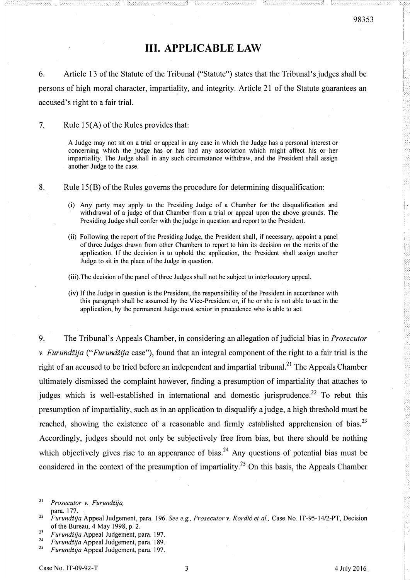## III. APPLICABLE LAW

6. Article 13 of the Statute of the Tribunal ("Statute") states that the Tribunal's judges shall be persons of high moral character, impartiality, and integrity. Article 21 of the Statute guarantees an accused's right to a fair trial.

7. Rule  $15(A)$  of the Rules provides that:

A Judge may not sit on a trial or appeal in any case in which the Judge has a personal interest or concerning which the judge has or has had any association which might affect his or her impartiality. The Judge shall in any such circumstance withdraw, and the President shall assign another Judge to the case.

8. Rule lS(B) of the Rules governs the procedure for determining disqualification:

- (i) Any party may apply to the Presiding Judge of a Chamber for the disqualification and withdrawal of a judge of that Chamber from a trial or appeal upon the above grounds. The Presiding Judge shall confer with the judge in question and report to the President.
- (ii) Following the report of the Presiding Judge, the President shall, if necessary, appoint a panel of three Judges drawn from other Chambers to report to him its decision on the merits of the application. If the decision is to uphold the application, the President shall assign another Judge to sit in the place of the Judge in question.

(iii).The decision of the panel of three Judges shall not be subject to interlocutory appeal.

(iv) If the Judge in question is the President, the responsibility of the President in accordance with this paragraph shall be assumed by the Vice-President or, if he or she is not able to act in the application, by the permanent Judge most senior in precedence who is able to act.

9. The Tribunal's Appeals Chamber, in considering an allegation of judicial bias in Prosecutor v. Furundžija ("Furundžija case"), found that an integral component of the right to a fair trial is the right of an accused to be tried before an independent and impartial tribunal.<sup>21</sup> The Appeals Chamber ultimately dismissed the complaint however, finding a presumption of impartiality that attaches to judges which is well-established in international and domestic jurisprudence.<sup>22</sup> To rebut this presumption of impartiality, such as in an application to disqualify a judge, a high threshold must be reached, showing the existence of a reasonable and firmly established apprehension of bias.<sup>23</sup> Accordingly, judges should not only be subjectively free from bias, but there should be nothing which objectively gives rise to an appearance of bias.<sup>24</sup> Any questions of potential bias must be considered in the context of the presumption of impartiality.25 On this basis, the Appeals Chamber

<sup>21</sup>Prosecutor v. Furundiija, Case No. IT-95-1711-A, Judgement, 21 July 2000 ("Furundiija Appeal Judgement"), para. I77.

<sup>&</sup>lt;sup>22</sup> Furundžija Appeal Judgement, para. 196. See e.g., Prosecutor v. Kordić et al., Case No. IT-95-14/2-PT, Decision of the Bureau, 4 May 1998, p. 2.

<sup>23</sup>  Furundžija Appeal Judgement, para. 197.

 $24$  Furundžija Appeal Judgement, para. 189.

<sup>25</sup>  Furundžija Appeal Judgement, para. 197.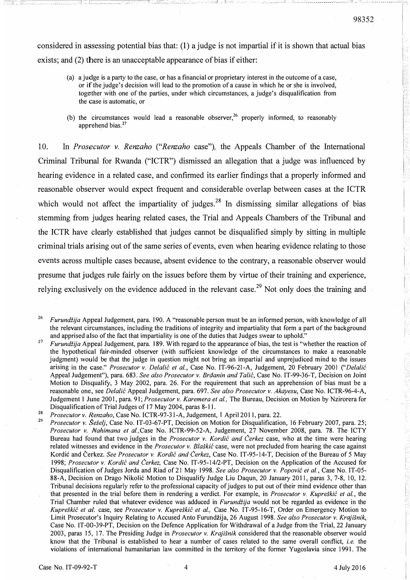considered in assessing potential bias that: (1) a judge is not impartial if it is shown that actual bias exists; and (2) there is an unacceptable appearance of bias if either:

- (a) a judge is a party to the case, or has a financial or proprietary interest in the outcome of a case, or if the judge's decision will lead to the promotion of a cause in which he or she is involved, together with one of the parties, under which circumstances, a judge's disqualification from the case is automatic, or
- (b) the circumstances would lead a reasonable observer,  $26$  properly informed, to reasonably apprehend bias.<sup>27</sup>

10. In Prosecutor v. Renzaho ("Renzaho case"), the Appeals Chamber of the International Criminal Tribunal for Rwanda ("ICTR") dismissed an allegation that a judge was influenced by hearing evidence in a related case, and confirmed its earlier findings that a properly informed and reasonable observer would expect frequent and considerable overlap between cases at the ICTR which would not affect the impartiality of judges.<sup>28</sup> In dismissing similar allegations of bias stemming from judges hearing related cases, the Trial and Appeals Chambers of the Tribunal and the ICTR have clearly established that judges cannot be disqualified simply by sitting in multiple criminal trials arising out of the same series of events, even when hearing evidence relating to those events across multiple cases because, absent evidence to the contrary, a reasonable observer would presume that judges rule fairly on the issues before them by virtue of their training and experience, relying exclusively on the evidence adduced in the relevant case.<sup>29</sup> Not only does the training and

<sup>&</sup>lt;sup>26</sup> Furundžija Appeal Judgement, para. 190. A "reasonable person must be an informed person, with knowledge of all the relevant circumstances, including the traditions of integrity and impartiality that form a part of the background and apprised also of the fact that impartiality is one of the duties that Judges swear to uphold."

<sup>27</sup>  Furundžija Appeal Judgement, para. 189. With regard to the appearance of bias, the test is "whether the reaction of the hypothetical fair-minded observer (with sufficient knowledge of the circumstances to make a reasonable judgment) would be that the judge in question might not bring an impartial and unprejudiced mind to the issues arising in the case." Prosecutor v. Delalić et al., Case No. IT-96-21-A, Judgement, 20 February 2001 ("Delalić Appeal Judgement"), para. 683. See also Prosecutor v. Brăanin and Talić, Case No. IT-99-36-T, Decision on Joint Motion to Disqualify, 3 May 2002, para. 26. For the requirement that such an apprehension of bias must be a reasonable one, see Delalić Appeal Judgement, para. 697. See also Prosecutor v. Akayesu, Case No. ICTR-96-4-A, Judgement 1 June 2001, para. 91; Prosecutor v. Karemera et al., The Bureau, Decision on Motion by Nzirorera for Disqualification of Trial Judges of 17 May 2004, paras 8-11.

<sup>28</sup>  Prosecutor v. Renzaho, Case No. ICTR-97-31-A, Judgement, 1 April 2011, para. 22.

Prosecutor v. Šešelj, Case No. IT-03-67-PT, Decision on Motion for Disqualification, 16 February 2007, para. 25; Prosecutor v. Nahimana et al.,Case No. ICTR-99-52-A, Judgement, 27 November 2008, para. 78. The ICTY Bureau had found that two judges in the *Prosecutor v. Kordić and Čerkez* case, who at the time were hearing related witnesses and evidence in the *Prosecutor v. Blaškić* case, were not precluded from hearing the case against Kordić and Čerkez. See Prosecutor v. Kordić and Čerkez, Case No. IT-95-14-T, Decision of the Bureau of 5 May 1998; Prosecutor v. Kordić and Čerkez, Case No. IT-95-14/2-PT, Decision on the Application of the Accused for Disqualification of Judges Jorda and Riad of 21 May 1998. See also Prosecutor v. Popović et al., Case No. IT-05-88-A, Decision on Drago Nikolic Motion to Disqualify Judge Liu Daqun, 20 January 2011, paras 3, 7-8, 10, 12. Tribunal decisions regularly refer to the professional capacity of judges to put out of their mind evidence other than that presented in the trial before them in rendering a verdict. For example, in *Prosecutor v. Kupreškić et al.*, the Trial Chamber ruled that whatever evidence was adduced in *Furundžiia* would not be regarded as evidence in the Kupreškić et al. case, see Prosecutor v. Kupreškić et al., Case No. IT-95-16-T, Order on Emergency Motion to Limit Prosecutor's Inquiry Relating to Accused Anto Furundžija, 26 August 1998. See also Prosecutor v. Krajišnik, Case No. IT-OO-39-PT, Decision on the Defence Application for Withdrawal of a Judge from the Trial, 22 January 2003, paras 15, 17. The Presiding Judge in *Prosecutor v. Krajišnik* considered that the reasonable observer would know that the Tribunal is established to hear a number of cases related to the same overall conflict, *i.e.* the violations of international humanitarian law committed in the territory of the former Yugoslavia since 1991. The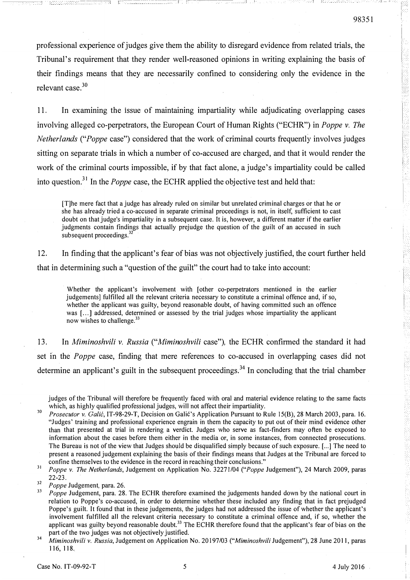--=-\_-�---:--� \_ r---

professional experience of judges give them the ability to disregard evidence from related trials, the Tribunal's requirement that they render well-reasoned opinions in writing explaining the basis of their findings means that they are necessarily confined to considering only the evidence in the relevant case.3D

11. In examining the Issue of maintaining impartiality while adjudicating overlapping cases involving alleged co-perpetrators, the European Court of Human Rights ("ECHR") in *Poppe v. The* Netherlands ("Poppe case") considered that the work of criminal courts frequently involves judges sitting on separate trials in which a number of co-accused are charged, and that it would render the work of the criminal courts impossible, if by that fact alone, a judge's impartiality could be called into question.<sup>31</sup> In the *Poppe* case, the ECHR applied the objective test and held that:

[T]he mere fact that a judge has already ruled on similar but unrelated criminal charges or that he or she has already tried a co-accused in separate criminal proceedings is not, in itself, sufficient to cast doubt on that judge's impartiality in a subsequent case. It is, however, a different matter if the earlier judgments contain findings that actually prejudge the question of the guilt of an accused in such subsequent proceedings. $32$ 

12. In finding that the applicant's fear of bias was not objectively justified, the court further held that in determining such a "question of the guilt" the court had to take into account:

Whether the applicant's involvement with [other co-perpetrators mentioned in the earlier judgements] fulfilled all the relevant criteria necessary to constitute a criminal offence and, if so, whether the applicant was guilty, beyond reasonable doubt, of having committed such an offence was [...] addressed, determined or assessed by the trial judges whose impartiality the applicant now wishes to challenge.<sup>33</sup>

13. In Miminoshvili v. Russia ("Miminoshvili case"), the ECHR confirmed the standard it had set in the Poppe case, finding that mere references to co-accused in overlapping cases did not determine an applicant's guilt in the subsequent proceedings.<sup>34</sup> In concluding that the trial chamber

judges of the Tribunal will therefore be frequently faced with oral and material evidence relating to the same facts which, as highly qualified professional judges, will not affect their impartiality.<br>*Prosecutor v. Galić*, IT-98-29-T, Decision on Galić's Application Pursuant to Rule 15(B), 28 March 2003, para. 16.

- "Judges' training and professional experience engrain in them the capacity to put out of their mind evidence other than that presented at trial in rendering a verdict. Judges who serve as fact-finders may often be exposed to information about the cases before them either in the media or, in some instances, from connected prosecutions. The Bureau is not of the view that Judges should be disqualified simply because of such exposure. [ ... ] The need to present a reasoned judgement explaining the basis of their findings means that Judges at the Tribunal are forced to confine themselves to the evidence in the record in reaching their conclusions."
- $31$  Poppe v. The Netherlands, Judgement on Application No. 32271/04 ("Poppe Judgement"), 24 March 2009, paras 22-23.

 $32$  Poppe Judgement, para. 26.

- Poppe Judgement, para. 28. The ECHR therefore examined the judgements handed down by the national court in relation to Poppe's co-accused, in order to determine whether these included any finding that in fact prejudged Poppe's guilt. It found that in these judgements, the judges had not addressed the issue of whether the applicant's involvement fulfilled all the relevant criteria necessary to constitute a criminal offence and, if so, whether the applicant was guilty beyond reasonable doubt.<sup>33</sup> The ECHR therefore found that the applicant's fear of bias on the part of the two judges was not objectively justified.
- <sup>34</sup> Miminoshvili v. Russia, Judgement on Application No. 20197/03 ("Miminoshvili Judgement"), 28 June 2011, paras 116, 118.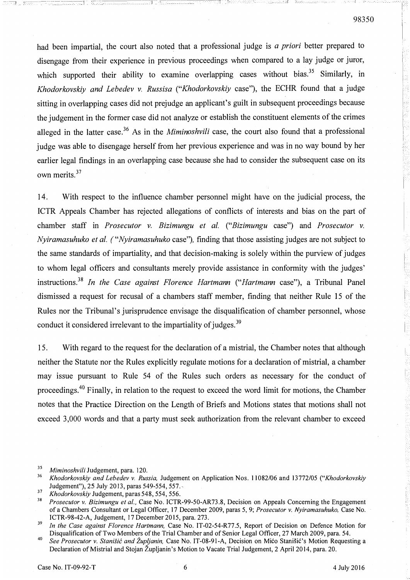had been impartial, the court also noted that a professional judge is *a priori* better prepared to disengage from their experience in previous proceedings when compared to a lay judge or juror, which supported their ability to examine overlapping cases without bias.<sup>35</sup> Similarly, in Khodorkovskiy and Lebedev v. Russisa ("Khodorkovskiy case"), the ECHR found that a judge sitting in overlapping cases did not prejudge an applicant's guilt in subsequent proceedings because the judgement in the former case did not analyze or establish the constituent elements of the crimes alleged in the latter case.<sup>36</sup> As in the *Miminoshvili* case, the court also found that a professional judge was able to disengage herself from her previous experience and was in no way bound by her earlier legal findings in an overlapping case because she had to consider the subsequent case on its own merits.<sup>37</sup>

14. With respect to the influence chamber personnel might have on the judicial process, the ICTR Appeals Chamber has rejected allegations of conflicts of interests and bias on the part of chamber staff in Prosecutor v. Bizimungu et al. ("Bizimungu case") and Prosecutor v. Nyiramasuhuko et at. ("Nyiramasuhuko case"), finding that those assisting judges are not subject to the same standards of impartiality, and that decision-making is solely within the purview of judges to whom legal officers and consultants merely provide assistance in conformity with the judges' instructions.<sup>38</sup> In the Case against Florence Hartmann ("Hartmann case"), a Tribunal Panel dismissed a request for recusal of a chambers staff member, finding that neither Rule 15 of the Rules nor the Tribunal's jurisprudence envisage the disqualification of chamber personnel, whose conduct it considered irrelevant to the impartiality of judges.<sup>39</sup>

15. With regard to the request for the declaration of a mistrial, the Chamber notes that although neither the Statute nor the Rules explicitly regulate motions for a declaration of mistrial, a chamber may issue pursuant to Rule 54 of the Rules such orders as necessary for the conduct of proceedings.<sup>40</sup> Finally, in relation to the request to exceed the word limit for motions, the Chamber notes that the Practice Direction on the Length of Briefs and Motions states that motions shall not exceed 3,000 words and that a party must seek authorization from the relevant chamber to exceed

 $-1.73$   $-$ 

 $\frac{35}{36}$  Miminoshvili Judgement, para. 120.

<sup>36</sup>Khodorkovskiy and Lebedev v. Russia, Judgement on Application Nos. 11082/06 and 13772/05 ("Khodorkovskiy Judgement"), 25 July 2013, paras 549-554, 557.·

<sup>&</sup>lt;sup>37</sup> Khodorkovskiy Judgement, paras 548, 554, 556.

<sup>38</sup>Prosecutor v. Bizimungu et al., Case No. ICTR-99-50-AR73.8, Decision on Appeals Concerning the Engagement of a Chambers Consultant or Legal Officer, 17 December 2009, paras 5, 9; Prosecutor v. Nyiramasuhuko, Case No. ICTR-98-42-A, Judgement, 17 December 2015, para. 273.

 $39$  In the Case against Florence Hartmann, Case No. IT-02-54-R77.5, Report of Decision on Defence Motion for Disqualification of Two Members of the Trial Chamber and of Senior Legal Officer, 27 March 2009, para. 54.

<sup>&</sup>lt;sup>40</sup> See Prosecutor v. Stanišić and Župljanin, Case No. IT-08-91-A, Decision on Mićo Stanišić's Motion Requesting a Declaration of Mistrial and Stojan Zupljanin's Motion to Vacate Trial Judgement, 2 April 2014, para. 20.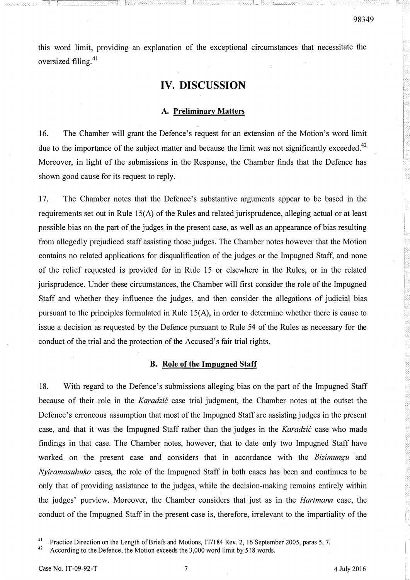this word limit, providing an explanation of the exceptional circumstances that necessitate the oversized filing. $41$ 

## IV. DISCUSSION

## A. Preliminary Matters

16. The Chamber will grant the Defence's request for an extension of the Motion's word limit due to the importance of the subject matter and because the limit was not significantly exceeded.<sup>42</sup> Moreover, in light of the submissions in the Response, the Chamber finds that the Defence has shown good cause for its request to reply.

17. The Chamber notes that the Defence's substantive arguments appear to be based in the requirements set out in Rule  $15(A)$  of the Rules and related jurisprudence, alleging actual or at least possible bias on the part of the judges in the present case, as well as an appearance of bias resulting from allegedly prejudiced staff assisting those judges. The Chamber notes however that the Motion contains no related applications for disqualification of the judges or the Impugned Staff, and none of the relief requested is provided for in Rule 15 or elsewhere in the Rules, or in the related jurisprudence. Under these circumstances, the Chamber will first consider the role of the Impugned Staff and whether they influence the judges, and then consider the allegations of judicial bias pursuant to the principles formulated in Rule 15(A), in order to determine whether there is cause to issue a decision as requested by the Defence pursuant to Rule 54 of the Rules as necessary for the conduct of the trial and the protection of the Accused's fair trial rights.

### B. Role of the Impugned Staff

18. With regard to the Defence's submissions alleging bias on the part of the Impugned Staff because of their role in the *Karadzić* case trial judgment, the Chamber notes at the outset the Defence's erroneous assumption that most of the Impugned Staff are assisting judges in the present case, and that it was the Impugned Staff rather than the judges in the *Karadzic* case who made findings in that case. The Chamber notes, however, that to date only two Impugned Staff have worked on the present case and considers that in accordance with the *Bizimungu* and Nyiramasuhuko cases, the role of the Impugned Staff in both cases has been and continues to be only that of providing assistance to the judges, while the decision-making remains entirely within the judges' purview. Moreover, the Chamber considers that just as in the Hartmann case, the conduct of the Impugned Staff in the present case is, therefore, irrelevant to the impartiality of the

<sup>&</sup>lt;sup>41</sup> Practice Direction on the Length of Briefs and Motions, IT/184 Rev. 2, 16 September 2005, paras 5, 7.

According to the Defence, the Motion exceeds the 3,000 word limit by 518 words.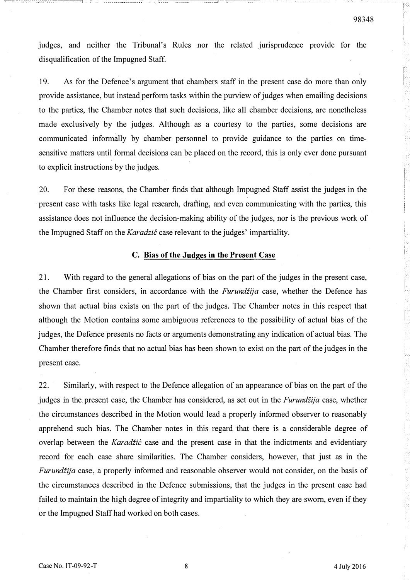judges, and neither the Tribunal's Rules nor the related jurisprudence provide for the disqualification of the Impugned Staff.

,�-------------- ----� ��cc: r�

19. As for the Defence's argument that chambers staff in the present case do more than only provide assistance, but instead perform tasks within the purview of judges when emailing decisions to the parties, the Chamber notes that such decisions, like all chamber decisions, are nonetheless made exclusively by the judges. Although as a courtesy to the parties, some decisions are communicated informally by chamber personnel to provide guidance to the parties on timesensitive matters until formal decisions can be placed on the record, this is only ever done pursuant to explicit instructions by the judges.

20. For these reasons, the Chamber finds that although Impugned Staff assist the judges in the present case with tasks like legal research, drafting, and even communicating with the parties, this assistance does not influence the decision-making ability of the judges, nor is the previous work of the Impugned Staff on the *Karadzic* case relevant to the judges' impartiality.

#### C. Bias of the Judges in the Present Case

2 1. With regard to the general allegations of bias on the part of the judges in the present case, the Chamber first considers, in accordance with the Furundžija case, whether the Defence has shown that actual bias exists on the part of the judges. The Chamber notes in this respect that although the Motion contains some ambiguous references to the possibility of actual bias of the judges, the Defence presents no facts or arguments demonstrating any indication of actual bias. The Chamber therefore finds that no actual bias has been shown to exist on the part of the judges in the present case.

22. Similarly, with respect to the Defence allegation of an appearance of bias on the part of the judges in the present case, the Chamber has considered, as set out in the *Furundžija* case, whether the circumstances described in the Motion would lead a properly informed observer to reasonably apprehend such bias. The Chamber notes in this regard that there is a considerable degree of overlap between the *Karadžić* case and the present case in that the indictments and evidentiary record for each case share similarities. The Chamber considers, however, that just as in the Furundžija case, a properly informed and reasonable observer would not consider, on the basis of the circumstances described in the Defence submissions, that the judges in the present case had failed to maintain the high degree of integrity and impartiality to which they are sworn, even if they or the Impugned Staff had worked on both cases.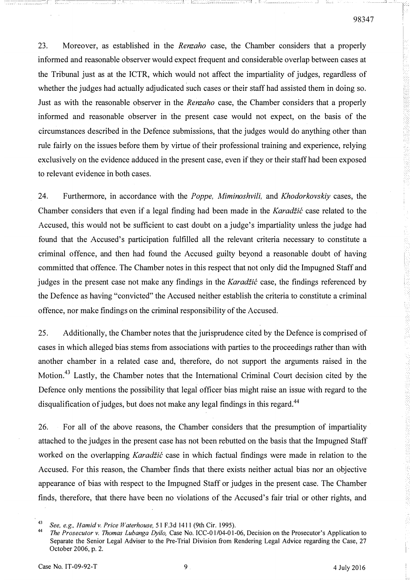23. Moreover, as established in the *Renzaho* case, the Chamber considers that a properly informed and reasonable observer would expect frequent and considerable overlap between cases at the Tribunal just as at the ICTR, which would not affect the impartiality of judges, regardless of whether the judges had actually adjudicated such cases or their staff had assisted them in doing so. Just as with the reasonable observer in the *Renzaho* case, the Chamber considers that a properly informed and reasonable observer in the present case would not expect, on the basis of the circumstances described in the Defence submissions, that the judges would do anything other than rule fairly on the issues before them by virtue of their professional training and experience, relying exclusively on the evidence adduced in the present case, even if they or their staff had been exposed to relevant evidence in both cases.

24. Furthermore, in accordance with the Poppe, Miminoshvili, and Khodorkovskiy cases, the Chamber considers that even if a legal finding had been made in the *Karadžić* case related to the Accused, this would not be sufficient to cast doubt on a judge's impartiality unless the judge had found that the Accused's participation fulfilled all the relevant criteria necessary to constitute a criminal offence, and then had found the Accused guilty beyond a reasonable doubt of having committed that offence. The Chamber notes in this respect that not only did the Impugned Staff and judges in the present case not make any findings in the Karadžić case, the findings referenced by the Defence as having "convicted" the Accused neither establish the criteria to constitute a criminal offence, nor make findings on the criminal responsibility of the Accused.

25. Additionally, the Chamber notes that the jurisprudence cited by the Defence is comprised of cases in which alleged bias stems from associations with parties to the proceedings rather than with another chamber in a related case and, therefore, do not support the arguments raised in the Motion.43 Lastly, the Chamber notes that the International Criminal Court decision cited by the Defence only mentions the possibility that legal officer bias might raise an issue with regard to the disqualification of judges, but does not make any legal findings in this regard.<sup>44</sup>

26. For all of the above reasons, the Chamber considers that the presumption of impartiality attached to the judges in the present case has not been rebutted on the basis that the Impugned Staff worked on the overlapping Karadžić case in which factual findings were made in relation to the Accused. For this reason, the Chamber finds that there exists neither actual bias nor an objective appearance of bias with respect to the Impugned Staff or judges in the present case. The Chamber finds, therefore, that there have been no violations of the Accused's fair trial or other rights, and

<sup>&</sup>lt;sup>43</sup> See, e.g., Hamid v. Price Waterhouse, 51 F.3d 1411 (9th Cir. 1995).<br><sup>44</sup> The Busessytemy Themas Luksuse Drile, Case Na JCC 01/04 01.

The Prosecutor v. Thomas Lubanga Dyilo, Case No. ICC-01/04-01-06, Decision on the Prosecutor's Application to Separate the Senior Legal Adviser to the Pre-Trial Division from Rendering Legal Advice regarding the Case, 27 October 2006, p. 2.